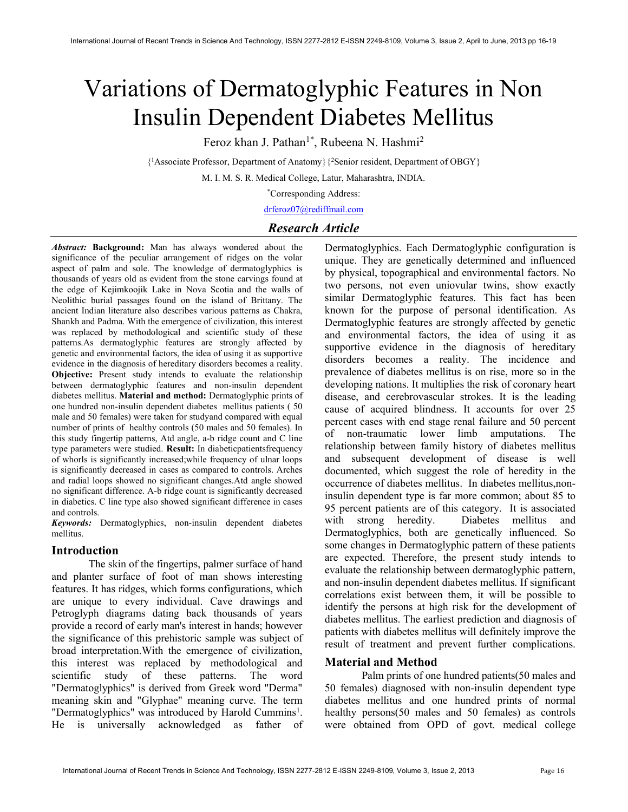# Variations of Dermatoglyphic Features in Non Insulin Dependent Diabetes Mellitus

Feroz khan J. Pathan<sup>1\*</sup>, Rubeena N. Hashmi<sup>2</sup>

{ <sup>1</sup>Associate Professor, Department of Anatomy}{<sup>2</sup>Senior resident, Department of OBGY}

M. I. M. S. R. Medical College, Latur, Maharashtra, INDIA.

\*Corresponding Address:

drferoz07@rediffmail.com

# Research Article

Abstract: Background: Man has always wondered about the significance of the peculiar arrangement of ridges on the volar aspect of palm and sole. The knowledge of dermatoglyphics is thousands of years old as evident from the stone carvings found at the edge of Kejimkoojik Lake in Nova Scotia and the walls of Neolithic burial passages found on the island of Brittany. The ancient Indian literature also describes various patterns as Chakra, Shankh and Padma. With the emergence of civilization, this interest was replaced by methodological and scientific study of these patterns.As dermatoglyphic features are strongly affected by genetic and environmental factors, the idea of using it as supportive evidence in the diagnosis of hereditary disorders becomes a reality. Objective: Present study intends to evaluate the relationship between dermatoglyphic features and non-insulin dependent diabetes mellitus. Material and method: Dermatoglyphic prints of one hundred non-insulin dependent diabetes mellitus patients ( 50 male and 50 females) were taken for studyand compared with equal number of prints of healthy controls (50 males and 50 females). In this study fingertip patterns, Atd angle, a-b ridge count and C line type parameters were studied. Result: In diabeticpatientsfrequency of whorls is significantly increased;while frequency of ulnar loops is significantly decreased in cases as compared to controls. Arches and radial loops showed no significant changes.Atd angle showed no significant difference. A-b ridge count is significantly decreased in diabetics. C line type also showed significant difference in cases and controls.

Keywords: Dermatoglyphics, non-insulin dependent diabetes mellitus.

## Introduction

The skin of the fingertips, palmer surface of hand and planter surface of foot of man shows interesting features. It has ridges, which forms configurations, which are unique to every individual. Cave drawings and Petroglyph diagrams dating back thousands of years provide a record of early man's interest in hands; however the significance of this prehistoric sample was subject of broad interpretation.With the emergence of civilization, this interest was replaced by methodological and scientific study of these patterns. The word "Dermatoglyphics" is derived from Greek word "Derma" meaning skin and "Glyphae" meaning curve. The term "Dermatoglyphics" was introduced by Harold Cummins<sup>1</sup>. He is universally acknowledged as father of

Dermatoglyphics. Each Dermatoglyphic configuration is unique. They are genetically determined and influenced by physical, topographical and environmental factors. No two persons, not even uniovular twins, show exactly similar Dermatoglyphic features. This fact has been known for the purpose of personal identification. As Dermatoglyphic features are strongly affected by genetic and environmental factors, the idea of using it as supportive evidence in the diagnosis of hereditary disorders becomes a reality. The incidence and prevalence of diabetes mellitus is on rise, more so in the developing nations. It multiplies the risk of coronary heart disease, and cerebrovascular strokes. It is the leading cause of acquired blindness. It accounts for over 25 percent cases with end stage renal failure and 50 percent of non-traumatic lower limb amputations. The relationship between family history of diabetes mellitus and subsequent development of disease is well documented, which suggest the role of heredity in the occurrence of diabetes mellitus. In diabetes mellitus,noninsulin dependent type is far more common; about 85 to 95 percent patients are of this category. It is associated with strong heredity. Diabetes mellitus and Dermatoglyphics, both are genetically influenced. So some changes in Dermatoglyphic pattern of these patients are expected. Therefore, the present study intends to evaluate the relationship between dermatoglyphic pattern, and non-insulin dependent diabetes mellitus. If significant correlations exist between them, it will be possible to identify the persons at high risk for the development of diabetes mellitus. The earliest prediction and diagnosis of patients with diabetes mellitus will definitely improve the result of treatment and prevent further complications.

## Material and Method

 Palm prints of one hundred patients(50 males and 50 females) diagnosed with non-insulin dependent type diabetes mellitus and one hundred prints of normal healthy persons(50 males and 50 females) as controls were obtained from OPD of govt. medical college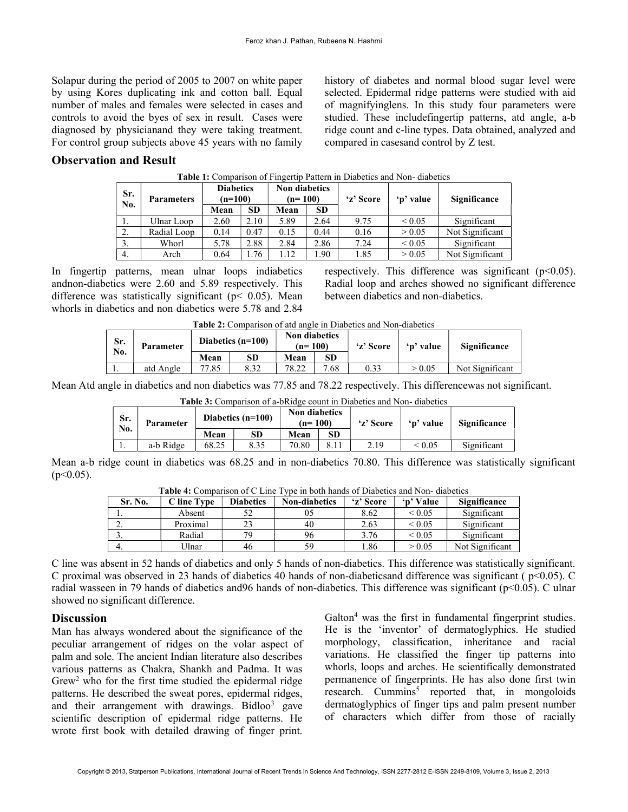Solapur during the period of 2005 to 2007 on white paper by using Kores duplicating ink and cotton ball. Equal number of males and females were selected in cases and controls to avoid the byes of sex in result. Cases were diagnosed by physicianand they were taking treatment. For control group subjects above 45 years with no family history of diabetes and normal blood sugar level were selected. Epidermal ridge patterns were studied with aid of magnifyinglens. In this study four parameters were studied. These includefingertip patterns, atd angle, a-b ridge count and c-line types. Data obtained, analyzed and compared in casesand control by Z test.

### Observation and Result

| Sr.<br>No. | <b>Parameters</b> | <b>Diabetics</b><br>$(n=100)$ |           | <b>Non diabetics</b><br>(n= 100) |           | 'z' Score | 'p' value        | Significance    |
|------------|-------------------|-------------------------------|-----------|----------------------------------|-----------|-----------|------------------|-----------------|
|            |                   | Mean                          | <b>SD</b> | Mean                             | <b>SD</b> |           |                  |                 |
|            | Ulnar Loop        | 2.60                          | 2.10      | 5.89                             | 2.64      | 9.75      | ${}_{\leq 0.05}$ | Significant     |
| 2.         | Radial Loop       | 0.14                          | 0.47      | 0.15                             | 0.44      | 0.16      | > 0.05           | Not Significant |
|            | Whorl             | 5.78                          | 2.88      | 2.84                             | 2.86      | 7.24      | ${}_{\leq 0.05}$ | Significant     |
| 4.         | Arch              | 0.64                          | . . 76    | 1.12                             | .90       | 1.85      | > 0.05           | Not Significant |

#### Table 1: Comparison of Fingertip Pattern in Diabetics and Non- diabetics

In fingertip patterns, mean ulnar loops indiabetics andnon-diabetics were 2.60 and 5.89 respectively. This difference was statistically significant ( $p$  < 0.05). Mean whorls in diabetics and non diabetics were 5.78 and 2.84 respectively. This difference was significant ( $p<0.05$ ). Radial loop and arches showed no significant difference between diabetics and non-diabetics.

| Sr.<br>No. | Parameter | Diabetics $(n=100)$ |      | Non diabetics<br>$(n=100)$ |      | 'z' Score | 'p' value | <b>Significance</b> |
|------------|-----------|---------------------|------|----------------------------|------|-----------|-----------|---------------------|
|            |           | Mean                | SD   | Mean                       | SD   |           |           |                     |
| $\cdot$    | atd Angle | 77.85               | 8.32 | 78.22                      | 7.68 | 0.33      | > 0.05    | Not Significant     |

| <b>Table 2:</b> Comparison of atd angle in Diabetics and Non-diabetics |  |
|------------------------------------------------------------------------|--|
|------------------------------------------------------------------------|--|

Mean Atd angle in diabetics and non diabetics was 77.85 and 78.22 respectively. This differencewas not significant.

| <b>Table 3:</b> Comparison of a-bRidge count in Diabetics and Non-diabetics |           |                     |      |                                   |           |           |             |              |  |  |
|-----------------------------------------------------------------------------|-----------|---------------------|------|-----------------------------------|-----------|-----------|-------------|--------------|--|--|
| Sr.<br>No.                                                                  | Parameter | Diabetics $(n=100)$ |      | <b>Non diabetics</b><br>$(n=100)$ |           | 'z' Score | 'p' value   | Significance |  |  |
|                                                                             |           | Mean                | SD   | Mean                              | <b>SD</b> |           |             |              |  |  |
| .,                                                                          | a-b Ridge | 68.25               | 8.35 | 70.80                             | 8.11      | 2.19      | ${}_{0.05}$ | Significant  |  |  |

Mean a-b ridge count in diabetics was 68.25 and in non-diabetics 70.80. This difference was statistically significant  $(p<0.05)$ .

|          |             |                  | - -                  |           |                  |                 |
|----------|-------------|------------------|----------------------|-----------|------------------|-----------------|
| Sr. No.  | C line Tvpe | <b>Diabetics</b> | <b>Non-diabetics</b> | 'z' Score | 'n' Value        | Significance    |
| . .      | Absent      |                  |                      | 8.62      | ${}_{\leq 0.05}$ | Significant     |
| <u>.</u> | Proximal    |                  | 40                   | 2.63      | ${}_{\leq 0.05}$ | Significant     |
|          | Radial      | 70               | 96                   | 3.76      | ${}_{0.05}$      | Significant     |
|          | Jlnar       | 46               | 59                   | .86       | > 0.05           | Not Significant |

Table 4: Comparison of C Line Type in both hands of Diabetics and Non- diabetics

C line was absent in 52 hands of diabetics and only 5 hands of non-diabetics. This difference was statistically significant. C proximal was observed in 23 hands of diabetics 40 hands of non-diabeticsand difference was significant ( p<0.05). C radial wasseen in 79 hands of diabetics and96 hands of non-diabetics. This difference was significant (p<0.05). C ulnar showed no significant difference.

### **Discussion**

Man has always wondered about the significance of the peculiar arrangement of ridges on the volar aspect of palm and sole. The ancient Indian literature also describes various patterns as Chakra, Shankh and Padma. It was Grew<sup>2</sup> who for the first time studied the epidermal ridge patterns. He described the sweat pores, epidermal ridges, and their arrangement with drawings. Bidloo<sup>3</sup> gave scientific description of epidermal ridge patterns. He wrote first book with detailed drawing of finger print.

Galton<sup>4</sup> was the first in fundamental fingerprint studies. He is the 'inventor' of dermatoglyphics. He studied morphology, classification, inheritance and racial variations. He classified the finger tip patterns into whorls, loops and arches. He scientifically demonstrated permanence of fingerprints. He has also done first twin research. Cummins<sup>5</sup> reported that, in mongoloids dermatoglyphics of finger tips and palm present number of characters which differ from those of racially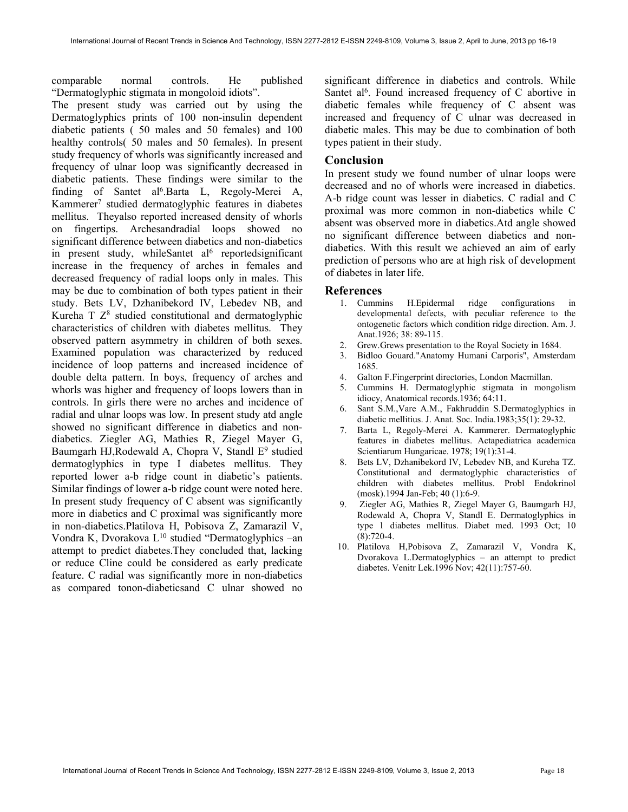comparable normal controls. He published "Dermatoglyphic stigmata in mongoloid idiots".

The present study was carried out by using the Dermatoglyphics prints of 100 non-insulin dependent diabetic patients ( 50 males and 50 females) and 100 healthy controls( 50 males and 50 females). In present study frequency of whorls was significantly increased and frequency of ulnar loop was significantly decreased in diabetic patients. These findings were similar to the finding of Santet al<sup>6</sup>.Barta L, Regoly-Merei A, Kammerer<sup>7</sup> studied dermatoglyphic features in diabetes mellitus. Theyalso reported increased density of whorls on fingertips. Archesandradial loops showed no significant difference between diabetics and non-diabetics in present study, whileSantet al<sup>6</sup> reportedsignificant increase in the frequency of arches in females and decreased frequency of radial loops only in males. This may be due to combination of both types patient in their study. Bets LV, Dzhanibekord IV, Lebedev NB, and Kureha  $T Z<sup>8</sup>$  studied constitutional and dermatoglyphic characteristics of children with diabetes mellitus. They observed pattern asymmetry in children of both sexes. Examined population was characterized by reduced incidence of loop patterns and increased incidence of double delta pattern. In boys, frequency of arches and whorls was higher and frequency of loops lowers than in controls. In girls there were no arches and incidence of radial and ulnar loops was low. In present study atd angle showed no significant difference in diabetics and nondiabetics. Ziegler AG, Mathies R, Ziegel Mayer G, Baumgarh HJ, Rodewald A, Chopra V, Standl E<sup>9</sup> studied dermatoglyphics in type I diabetes mellitus. They reported lower a-b ridge count in diabetic's patients. Similar findings of lower a-b ridge count were noted here. In present study frequency of C absent was significantly more in diabetics and C proximal was significantly more in non-diabetics.Platilova H, Pobisova Z, Zamarazil V, Vondra K, Dvorakova  $L^{10}$  studied "Dermatoglyphics –an attempt to predict diabetes.They concluded that, lacking or reduce Cline could be considered as early predicate feature. C radial was significantly more in non-diabetics as compared tonon-diabeticsand C ulnar showed no

significant difference in diabetics and controls. While Santet al<sup>6</sup>. Found increased frequency of C abortive in diabetic females while frequency of C absent was increased and frequency of C ulnar was decreased in diabetic males. This may be due to combination of both types patient in their study.

#### Conclusion

In present study we found number of ulnar loops were decreased and no of whorls were increased in diabetics. A-b ridge count was lesser in diabetics. C radial and C proximal was more common in non-diabetics while C absent was observed more in diabetics.Atd angle showed no significant difference between diabetics and nondiabetics. With this result we achieved an aim of early prediction of persons who are at high risk of development of diabetes in later life.

#### References

- 1. Cummins H.Epidermal ridge configurations in developmental defects, with peculiar reference to the ontogenetic factors which condition ridge direction. Am. J. Anat.1926; 38: 89-115.
- 2. Grew.Grews presentation to the Royal Society in 1684.
- 3. Bidloo Gouard."Anatomy Humani Carporis", Amsterdam 1685.
- 4. Galton F.Fingerprint directories, London Macmillan.
- 5. Cummins H. Dermatoglyphic stigmata in mongolism idiocy, Anatomical records.1936; 64:11.
- 6. Sant S.M.,Vare A.M., Fakhruddin S.Dermatoglyphics in diabetic mellitius. J. Anat. Soc. India.1983;35(1): 29-32.
- 7. Barta L, Regoly-Merei A. Kammerer. Dermatoglyphic features in diabetes mellitus. Actapediatrica academica Scientiarum Hungaricae. 1978; 19(1):31-4.
- 8. Bets LV, Dzhanibekord IV, Lebedev NB, and Kureha TZ. Constitutional and dermatoglyphic characteristics of children with diabetes mellitus. Probl Endokrinol (mosk).1994 Jan-Feb; 40 (1):6-9.
- 9. Ziegler AG, Mathies R, Ziegel Mayer G, Baumgarh HJ, Rodewald A, Chopra V, Standl E. Dermatoglyphics in type 1 diabetes mellitus. Diabet med. 1993 Oct; 10 (8):720-4.
- 10. Platilova H,Pobisova Z, Zamarazil V, Vondra K, Dvorakova L.Dermatoglyphics – an attempt to predict diabetes. Venitr Lek.1996 Nov; 42(11):757-60.